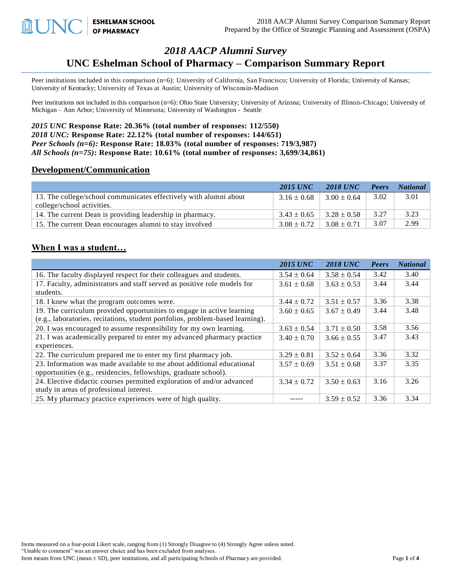**ESHELMAN SCHOOL<br>OF PHARMACY** LUNC

# *2018 AACP Alumni Survey* **UNC Eshelman School of Pharmacy – Comparison Summary Report**

Peer institutions included in this comparison (n=6): University of California, San Francisco; University of Florida; University of Kansas; University of Kentucky; University of Texas at Austin; University of Wisconsin-Madison

Peer institutions not included in this comparison (n=6): Ohio State University; University of Arizona; University of Illinois-Chicago; University of Michigan – Ann Arbor; University of Minnesota; University of Washington - Seattle

*2015 UNC* **Response Rate: 20.36% (total number of responses: 112/550)** *2018 UNC:* **Response Rate: 22.12% (total number of responses: 144/651)** *Peer Schools (n=6):* **Response Rate: 18.03% (total number of responses: 719/3,987)** *All Schools (n=75)***: Response Rate: 10.61% (total number of responses: 3,699/34,861)** 

#### **Development/Communication**

|                                                                   | <b>2015 UNC</b> | 2018 UNC        | Peers | <b>National</b> |
|-------------------------------------------------------------------|-----------------|-----------------|-------|-----------------|
| 13. The college/school communicates effectively with alumni about | $3.16 \pm 0.68$ | $3.00 \pm 0.64$ | 3.02  | 3.01            |
| college/school activities.                                        |                 |                 |       |                 |
| 14. The current Dean is providing leadership in pharmacy.         | $3.43 \pm 0.65$ | $3.28 \pm 0.58$ | 3.27  | 3.23            |
| 15. The current Dean encourages alumni to stay involved           | $3.08 \pm 0.72$ | $3.08 \pm 0.71$ | 3.07  | 2.99            |

### **When I was a student…**

|                                                                                | <b>2015 UNC</b> | <b>2018 UNC</b> | Peers | <b>National</b> |
|--------------------------------------------------------------------------------|-----------------|-----------------|-------|-----------------|
| 16. The faculty displayed respect for their colleagues and students.           | $3.54 \pm 0.64$ | $3.58 \pm 0.54$ | 3.42  | 3.40            |
| 17. Faculty, administrators and staff served as positive role models for       | $3.61 \pm 0.68$ | $3.63 \pm 0.53$ | 3.44  | 3.44            |
| students.                                                                      |                 |                 |       |                 |
| 18. I knew what the program outcomes were.                                     | $3.44 \pm 0.72$ | $3.51 \pm 0.57$ | 3.36  | 3.38            |
| 19. The curriculum provided opportunities to engage in active learning         | $3.60 \pm 0.65$ | $3.67 \pm 0.49$ | 3.44  | 3.48            |
| (e.g., laboratories, recitations, student portfolios, problem-based learning). |                 |                 |       |                 |
| 20. I was encouraged to assume responsibility for my own learning.             | $3.63 \pm 0.54$ | $3.71 \pm 0.50$ | 3.58  | 3.56            |
| 21. I was academically prepared to enter my advanced pharmacy practice         | $3.40 \pm 0.70$ | $3.66 \pm 0.55$ | 3.47  | 3.43            |
| experiences.                                                                   |                 |                 |       |                 |
| 22. The curriculum prepared me to enter my first pharmacy job.                 | $3.29 \pm 0.81$ | $3.52 \pm 0.64$ | 3.36  | 3.32            |
| 23. Information was made available to me about additional educational          | $3.57 \pm 0.69$ | $3.51 \pm 0.68$ | 3.37  | 3.35            |
| opportunities (e.g., residencies, fellowships, graduate school).               |                 |                 |       |                 |
| 24. Elective didactic courses permitted exploration of and/or advanced         | $3.34 \pm 0.72$ | $3.50 \pm 0.63$ | 3.16  | 3.26            |
| study in areas of professional interest.                                       |                 |                 |       |                 |
| 25. My pharmacy practice experiences were of high quality.                     |                 | $3.59 \pm 0.52$ | 3.36  | 3.34            |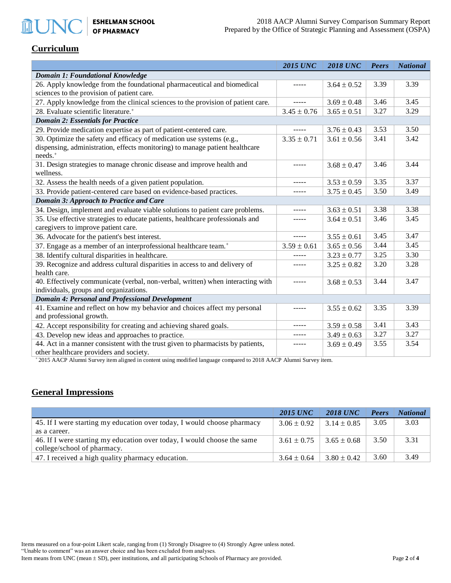#### **Curriculum**

**MUNC** 

|                                                                                                       | <b>2015 UNC</b> | <b>2018 UNC</b> | <b>Peers</b> | <b>National</b> |  |  |
|-------------------------------------------------------------------------------------------------------|-----------------|-----------------|--------------|-----------------|--|--|
| <b>Domain 1: Foundational Knowledge</b>                                                               |                 |                 |              |                 |  |  |
| 26. Apply knowledge from the foundational pharmaceutical and biomedical                               |                 | $3.64 \pm 0.52$ | 3.39         | 3.39            |  |  |
| sciences to the provision of patient care.                                                            |                 |                 |              |                 |  |  |
| 27. Apply knowledge from the clinical sciences to the provision of patient care.                      | $- - - - -$     | $3.69 \pm 0.48$ | 3.46         | 3.45            |  |  |
| 28. Evaluate scientific literature. <sup>+</sup>                                                      | $3.45 \pm 0.76$ | $3.65 \pm 0.51$ | 3.27         | 3.29            |  |  |
| <b>Domain 2: Essentials for Practice</b>                                                              |                 |                 |              |                 |  |  |
| 29. Provide medication expertise as part of patient-centered care.                                    | -----           | $3.76 \pm 0.43$ | 3.53         | 3.50            |  |  |
| 30. Optimize the safety and efficacy of medication use systems (e.g.,                                 | $3.35 \pm 0.71$ | $3.61 \pm 0.56$ | 3.41         | 3.42            |  |  |
| dispensing, administration, effects monitoring) to manage patient healthcare<br>needs. <sup>+</sup>   |                 |                 |              |                 |  |  |
| 31. Design strategies to manage chronic disease and improve health and<br>wellness.                   | -----           | $3.68 \pm 0.47$ | 3.46         | 3.44            |  |  |
| 32. Assess the health needs of a given patient population.                                            | -----           | $3.53 \pm 0.59$ | 3.35         | 3.37            |  |  |
| 33. Provide patient-centered care based on evidence-based practices.                                  |                 | $3.75 \pm 0.45$ | 3.50         | 3.49            |  |  |
| <b>Domain 3: Approach to Practice and Care</b>                                                        |                 |                 |              |                 |  |  |
| 34. Design, implement and evaluate viable solutions to patient care problems.                         | -----           | $3.63 \pm 0.51$ | 3.38         | 3.38            |  |  |
| 35. Use effective strategies to educate patients, healthcare professionals and                        |                 | $3.64 \pm 0.51$ | 3.46         | 3.45            |  |  |
| caregivers to improve patient care.                                                                   |                 |                 |              |                 |  |  |
| 36. Advocate for the patient's best interest.                                                         | -----           | $3.55 \pm 0.61$ | 3.45         | 3.47            |  |  |
| 37. Engage as a member of an interprofessional healthcare team. <sup>+</sup>                          | $3.59 \pm 0.61$ | $3.65 \pm 0.56$ | 3.44         | 3.45            |  |  |
| 38. Identify cultural disparities in healthcare.                                                      |                 | $3.23 \pm 0.77$ | 3.25         | 3.30            |  |  |
| 39. Recognize and address cultural disparities in access to and delivery of                           |                 | $3.25 \pm 0.82$ | 3.20         | 3.28            |  |  |
| health care.                                                                                          |                 |                 |              |                 |  |  |
| 40. Effectively communicate (verbal, non-verbal, written) when interacting with                       | -----           | $3.68 \pm 0.53$ | 3.44         | 3.47            |  |  |
| individuals, groups and organizations.                                                                |                 |                 |              |                 |  |  |
| <b>Domain 4: Personal and Professional Development</b>                                                |                 |                 |              |                 |  |  |
| 41. Examine and reflect on how my behavior and choices affect my personal<br>and professional growth. | -----           | $3.55 \pm 0.62$ | 3.35         | 3.39            |  |  |
| 42. Accept responsibility for creating and achieving shared goals.                                    |                 | $3.59 \pm 0.58$ | 3.41         | 3.43            |  |  |
| 43. Develop new ideas and approaches to practice.                                                     | -----           | $3.49 \pm 0.63$ | 3.27         | 3.27            |  |  |
| 44. Act in a manner consistent with the trust given to pharmacists by patients,                       |                 | $3.69 \pm 0.49$ | 3.55         | 3.54            |  |  |
| other healthcare providers and society.                                                               |                 |                 |              |                 |  |  |

<sup>+</sup>2015 AACP Alumni Survey item aligned in content using modified language compared to 2018 AACP Alumni Survey item.

## **General Impressions**

|                                                                         | <b>2015 UNC</b> | <b>2018 UNC</b> | Peers | <b>National</b> |
|-------------------------------------------------------------------------|-----------------|-----------------|-------|-----------------|
| 45. If I were starting my education over today, I would choose pharmacy | $3.06 \pm 0.92$ | $3.14 \pm 0.85$ | 3.05  | 3.03            |
| as a career.                                                            |                 |                 |       |                 |
| 46. If I were starting my education over today, I would choose the same | $3.61 \pm 0.75$ | $3.65 \pm 0.68$ | 3.50  | 3.31            |
| college/school of pharmacy.                                             |                 |                 |       |                 |
| 47. I received a high quality pharmacy education.                       | $3.64 \pm 0.64$ | $3.80 \pm 0.42$ | 3.60  | 3.49            |

Items measured on a four-point Likert scale, ranging from (1) Strongly Disagree to (4) Strongly Agree unless noted. "Unable to comment" was an answer choice and has been excluded from analyses. Item means from UNC (mean  $\pm$  SD), peer institutions, and all participating Schools of Pharmacy are provided. Page 2 of 4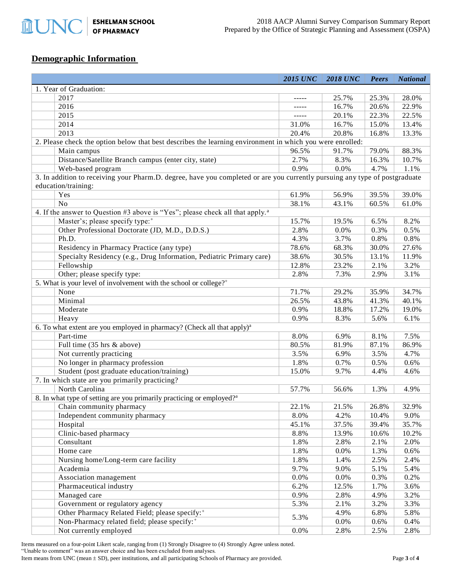**ESHELMAN SCHOOL<br>OF PHARMACY MUNO** 

# **Demographic Information**

|                                                                                                                             | <b>2015 UNC</b> | <b>2018 UNC</b> | Peers | <b>National</b> |  |  |  |
|-----------------------------------------------------------------------------------------------------------------------------|-----------------|-----------------|-------|-----------------|--|--|--|
| 1. Year of Graduation:                                                                                                      |                 |                 |       |                 |  |  |  |
| 2017                                                                                                                        | $- - - - -$     | 25.7%           | 25.3% | 28.0%           |  |  |  |
| 2016                                                                                                                        |                 | 16.7%           | 20.6% | 22.9%           |  |  |  |
| 2015                                                                                                                        |                 | 20.1%           | 22.3% | 22.5%           |  |  |  |
| 2014                                                                                                                        | 31.0%           | 16.7%           | 15.0% | 13.4%           |  |  |  |
| 2013                                                                                                                        | 20.4%           | 20.8%           | 16.8% | 13.3%           |  |  |  |
| 2. Please check the option below that best describes the learning environment in which you were enrolled:                   |                 |                 |       |                 |  |  |  |
| Main campus                                                                                                                 | 96.5%           | 91.7%           | 79.0% | 88.3%           |  |  |  |
| Distance/Satellite Branch campus (enter city, state)                                                                        | 2.7%            | 8.3%            | 16.3% | 10.7%           |  |  |  |
| Web-based program                                                                                                           | 0.9%            | 0.0%            | 4.7%  | 1.1%            |  |  |  |
| 3. In addition to receiving your Pharm.D. degree, have you completed or are you currently pursuing any type of postgraduate |                 |                 |       |                 |  |  |  |
| education/training:                                                                                                         |                 |                 |       |                 |  |  |  |
| Yes                                                                                                                         | 61.9%           | 56.9%           | 39.5% | 39.0%           |  |  |  |
| N <sub>o</sub>                                                                                                              | 38.1%           | 43.1%           | 60.5% | 61.0%           |  |  |  |
| 4. If the answer to Question #3 above is "Yes"; please check all that apply. <sup>a</sup>                                   |                 |                 |       |                 |  |  |  |
| Master's; please specify type: <sup>+</sup>                                                                                 | 15.7%           | 19.5%           | 6.5%  | 8.2%            |  |  |  |
| Other Professional Doctorate (JD, M.D., D.D.S.)                                                                             | 2.8%            | 0.0%            | 0.3%  | 0.5%            |  |  |  |
| Ph.D.                                                                                                                       | 4.3%            | 3.7%            | 0.8%  | 0.8%            |  |  |  |
| Residency in Pharmacy Practice (any type)                                                                                   | 78.6%           | 68.3%           | 30.0% | 27.6%           |  |  |  |
| Specialty Residency (e.g., Drug Information, Pediatric Primary care)                                                        | 38.6%           | 30.5%           | 13.1% | 11.9%           |  |  |  |
| Fellowship                                                                                                                  | 12.8%           | 23.2%           | 2.1%  | 3.2%            |  |  |  |
| Other; please specify type:                                                                                                 | 2.8%            | 7.3%            | 2.9%  | 3.1%            |  |  |  |
| 5. What is your level of involvement with the school or college? <sup>+</sup>                                               |                 |                 |       |                 |  |  |  |
| None                                                                                                                        | 71.7%           | 29.2%           | 35.9% | 34.7%           |  |  |  |
| Minimal                                                                                                                     | 26.5%           | 43.8%           | 41.3% | 40.1%           |  |  |  |
| Moderate                                                                                                                    | 0.9%            | 18.8%           | 17.2% | 19.0%           |  |  |  |
| Heavy                                                                                                                       | 0.9%            | 8.3%            | 5.6%  | 6.1%            |  |  |  |
| 6. To what extent are you employed in pharmacy? (Check all that apply) <sup>a</sup>                                         |                 |                 |       |                 |  |  |  |
| Part-time                                                                                                                   | 8.0%            | 6.9%            | 8.1%  | 7.5%            |  |  |  |
| Full time (35 hrs & above)                                                                                                  | 80.5%           | 81.9%           | 87.1% | 86.9%           |  |  |  |
| Not currently practicing                                                                                                    | 3.5%            | 6.9%            | 3.5%  | 4.7%            |  |  |  |
| No longer in pharmacy profession                                                                                            | 1.8%            | 0.7%            | 0.5%  | 0.6%            |  |  |  |
| Student (post graduate education/training)                                                                                  | 15.0%           | 9.7%            | 4.4%  | 4.6%            |  |  |  |
| 7. In which state are you primarily practicing?                                                                             |                 |                 |       |                 |  |  |  |
| North Carolina                                                                                                              | 57.7%           | 56.6%           | 1.3%  | 4.9%            |  |  |  |
| 8. In what type of setting are you primarily practicing or employed? <sup>a</sup>                                           |                 |                 |       |                 |  |  |  |
| Chain community pharmacy                                                                                                    | 22.1%           | 21.5%           | 26.8% | 32.9%           |  |  |  |
| Independent community pharmacy                                                                                              | 8.0%            | 4.2%            | 10.4% | 9.0%            |  |  |  |
| Hospital                                                                                                                    | 45.1%           | 37.5%           | 39.4% | 35.7%           |  |  |  |
| Clinic-based pharmacy                                                                                                       | 8.8%            | 13.9%           | 10.6% | 10.2%           |  |  |  |
| Consultant                                                                                                                  | 1.8%            | 2.8%            | 2.1%  | 2.0%            |  |  |  |
| Home care                                                                                                                   | 1.8%            | 0.0%            | 1.3%  | 0.6%            |  |  |  |
| Nursing home/Long-term care facility                                                                                        | 1.8%            | 1.4%            | 2.5%  | 2.4%            |  |  |  |
| Academia                                                                                                                    | 9.7%            | 9.0%            | 5.1%  | 5.4%            |  |  |  |
| Association management                                                                                                      | 0.0%            | 0.0%            | 0.3%  | 0.2%            |  |  |  |
| Pharmaceutical industry                                                                                                     | 6.2%            | 12.5%           | 1.7%  | 3.6%            |  |  |  |
| Managed care                                                                                                                | 0.9%            | 2.8%            | 4.9%  | 3.2%            |  |  |  |
| Government or regulatory agency                                                                                             | 5.3%            | 2.1%            | 3.2%  | 3.3%            |  |  |  |
| Other Pharmacy Related Field; please specify: <sup>+</sup>                                                                  |                 | 4.9%            | 6.8%  | 5.8%            |  |  |  |
| Non-Pharmacy related field; please specify: <sup>+</sup>                                                                    | 5.3%            | $0.0\%$         | 0.6%  | 0.4%            |  |  |  |
| Not currently employed                                                                                                      | 0.0%            | 2.8%            | 2.5%  | 2.8%            |  |  |  |

Items measured on a four-point Likert scale, ranging from (1) Strongly Disagree to (4) Strongly Agree unless noted.

"Unable to comment" was an answer choice and has been excluded from analyses.

Item means from UNC (mean  $\pm$  SD), peer institutions, and all participating Schools of Pharmacy are provided. Page 3 of 4